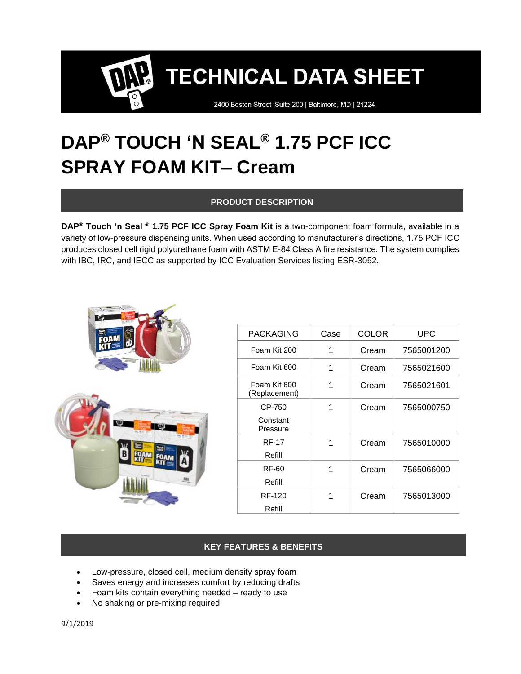2400 Boston Street | Suite 200 | Baltimore, MD | 21224

# **DAP® TOUCH 'N SEAL® 1.75 PCF ICC SPRAY FOAM KIT– Cream**

# **PRODUCT DESCRIPTION**

**DAP® Touch 'n Seal ® 1.75 PCF ICC Spray Foam Kit** is a two-component foam formula, available in a variety of low-pressure dispensing units. When used according to manufacturer's directions, 1.75 PCF ICC produces closed cell rigid polyurethane foam with ASTM E-84 Class A fire resistance. The system complies with IBC, IRC, and IECC as supported by ICC Evaluation Services listing ESR-3052.



| <b>PACKAGING</b>               | Case | COLOR | UPC        |
|--------------------------------|------|-------|------------|
| Foam Kit 200                   | 1    | Cream | 7565001200 |
| Foam Kit 600                   | 1    | Cream | 7565021600 |
| Foam Kit 600<br>(Replacement)  | 1    | Cream | 7565021601 |
| CP-750<br>Constant<br>Pressure | 1    | Cream | 7565000750 |
| <b>RF-17</b><br>Refill         | 1    | Cream | 7565010000 |
| RF-60<br>Refill                | 1    | Cream | 7565066000 |
| RF-120<br>Refill               | 1    | Cream | 7565013000 |

# **KEY FEATURES & BENEFITS**

- Low-pressure, closed cell, medium density spray foam
- Saves energy and increases comfort by reducing drafts
- Foam kits contain everything needed ready to use
- No shaking or pre-mixing required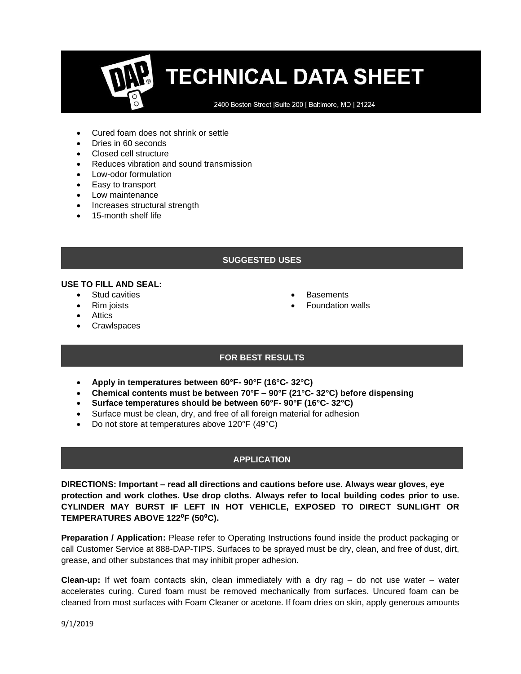2400 Boston Street | Suite 200 | Baltimore, MD | 21224

- Cured foam does not shrink or settle
- Dries in 60 seconds
- Closed cell structure
- Reduces vibration and sound transmission
- Low-odor formulation
- Easy to transport
- Low maintenance
- Increases structural strength
- 15-month shelf life

# **SUGGESTED USES**

#### **USE TO FILL AND SEAL:**

- **Stud cavities**
- Rim joists
- Attics
- **Crawlspaces**
- **Basements**
- Foundation walls

# **FOR BEST RESULTS**

- **Apply in temperatures between 60°F- 90°F (16°C- 32°C)**
- **Chemical contents must be between 70°F – 90°F (21°C- 32°C) before dispensing**
- **Surface temperatures should be between 60°F- 90°F (16°C- 32°C)**
- Surface must be clean, dry, and free of all foreign material for adhesion
- Do not store at temperatures above 120°F (49°C)

# **APPLICATION**

**DIRECTIONS: Important – read all directions and cautions before use. Always wear gloves, eye protection and work clothes. Use drop cloths. Always refer to local building codes prior to use. CYLINDER MAY BURST IF LEFT IN HOT VEHICLE, EXPOSED TO DIRECT SUNLIGHT OR TEMPERATURES ABOVE 122**⁰**F (50**⁰**C).**

**Preparation / Application:** Please refer to Operating Instructions found inside the product packaging or call Customer Service at 888-DAP-TIPS. Surfaces to be sprayed must be dry, clean, and free of dust, dirt, grease, and other substances that may inhibit proper adhesion.

**Clean-up:** If wet foam contacts skin, clean immediately with a dry rag – do not use water – water accelerates curing. Cured foam must be removed mechanically from surfaces. Uncured foam can be cleaned from most surfaces with Foam Cleaner or acetone. If foam dries on skin, apply generous amounts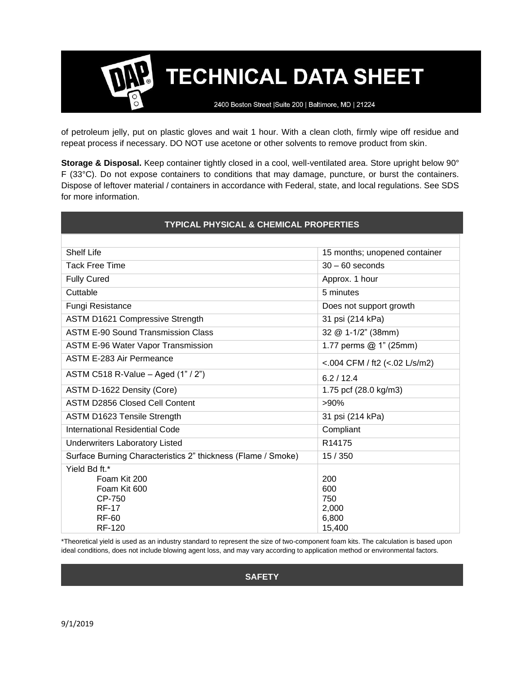2400 Boston Street | Suite 200 | Baltimore, MD | 21224

of petroleum jelly, put on plastic gloves and wait 1 hour. With a clean cloth, firmly wipe off residue and repeat process if necessary. DO NOT use acetone or other solvents to remove product from skin.

**Storage & Disposal.** Keep container tightly closed in a cool, well-ventilated area. Store upright below 90° F (33°C). Do not expose containers to conditions that may damage, puncture, or burst the containers. Dispose of leftover material / containers in accordance with Federal, state, and local regulations. See SDS for more information.

| <b>TYPICAL PHYSICAL &amp; CHEMICAL PROPERTIES</b>                       |                               |  |  |  |
|-------------------------------------------------------------------------|-------------------------------|--|--|--|
|                                                                         |                               |  |  |  |
| <b>Shelf Life</b>                                                       | 15 months; unopened container |  |  |  |
| <b>Tack Free Time</b>                                                   | $30 - 60$ seconds             |  |  |  |
| <b>Fully Cured</b>                                                      | Approx. 1 hour                |  |  |  |
| Cuttable                                                                | 5 minutes                     |  |  |  |
| Fungi Resistance                                                        | Does not support growth       |  |  |  |
| ASTM D1621 Compressive Strength                                         | 31 psi (214 kPa)              |  |  |  |
| <b>ASTM E-90 Sound Transmission Class</b>                               | 32 @ 1-1/2" (38mm)            |  |  |  |
| <b>ASTM E-96 Water Vapor Transmission</b>                               | 1.77 perms $@$ 1" (25mm)      |  |  |  |
| ASTM E-283 Air Permeance                                                | <.004 CFM / ft2 (<.02 L/s/m2) |  |  |  |
| ASTM C518 R-Value - Aged (1" / 2")                                      | 6.2/12.4                      |  |  |  |
| ASTM D-1622 Density (Core)                                              | 1.75 pcf (28.0 kg/m3)         |  |  |  |
| <b>ASTM D2856 Closed Cell Content</b>                                   | $>90\%$                       |  |  |  |
| <b>ASTM D1623 Tensile Strength</b>                                      | 31 psi (214 kPa)              |  |  |  |
| International Residential Code                                          | Compliant                     |  |  |  |
| <b>Underwriters Laboratory Listed</b>                                   | R14175                        |  |  |  |
| Surface Burning Characteristics 2" thickness (Flame / Smoke)            | 15/350                        |  |  |  |
| Yield Bd ft.*<br>Foam Kit 200<br>Foam Kit 600<br>CP-750<br><b>RF-17</b> | 200<br>600<br>750<br>2,000    |  |  |  |
| RF-60<br><b>RF-120</b>                                                  | 6,800<br>15,400               |  |  |  |

\*Theoretical yield is used as an industry standard to represent the size of two-component foam kits. The calculation is based upon ideal conditions, does not include blowing agent loss, and may vary according to application method or environmental factors.

**SAFETY**